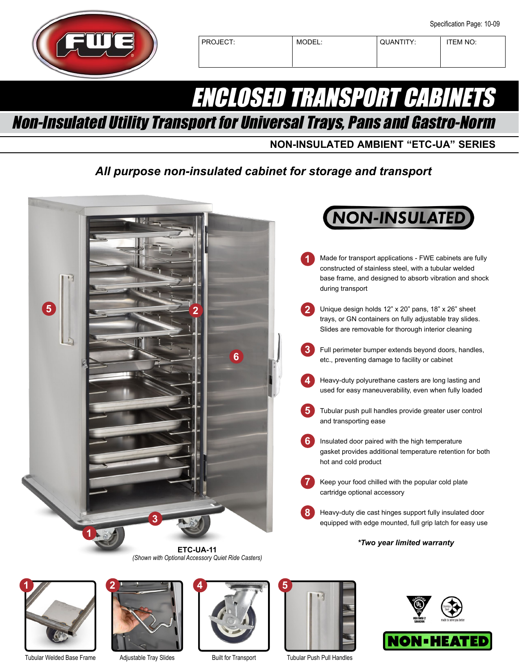

## PROJECT: MODEL: QUANTITY: TEM NO:

# ENCLOSED TRANSPORT CABINETS

Non-Insulated Utility Transport for Universal Trays, Pans and Gastro-Norm

**NON-INSULATED AMBIENT "ETC-UA" SERIES**

# *All purpose non-insulated cabinet for storage and transport*





Tubular Welded Base Frame



Adjustable Tray Slides



Built for Transport



Tubular Push Pull Handles